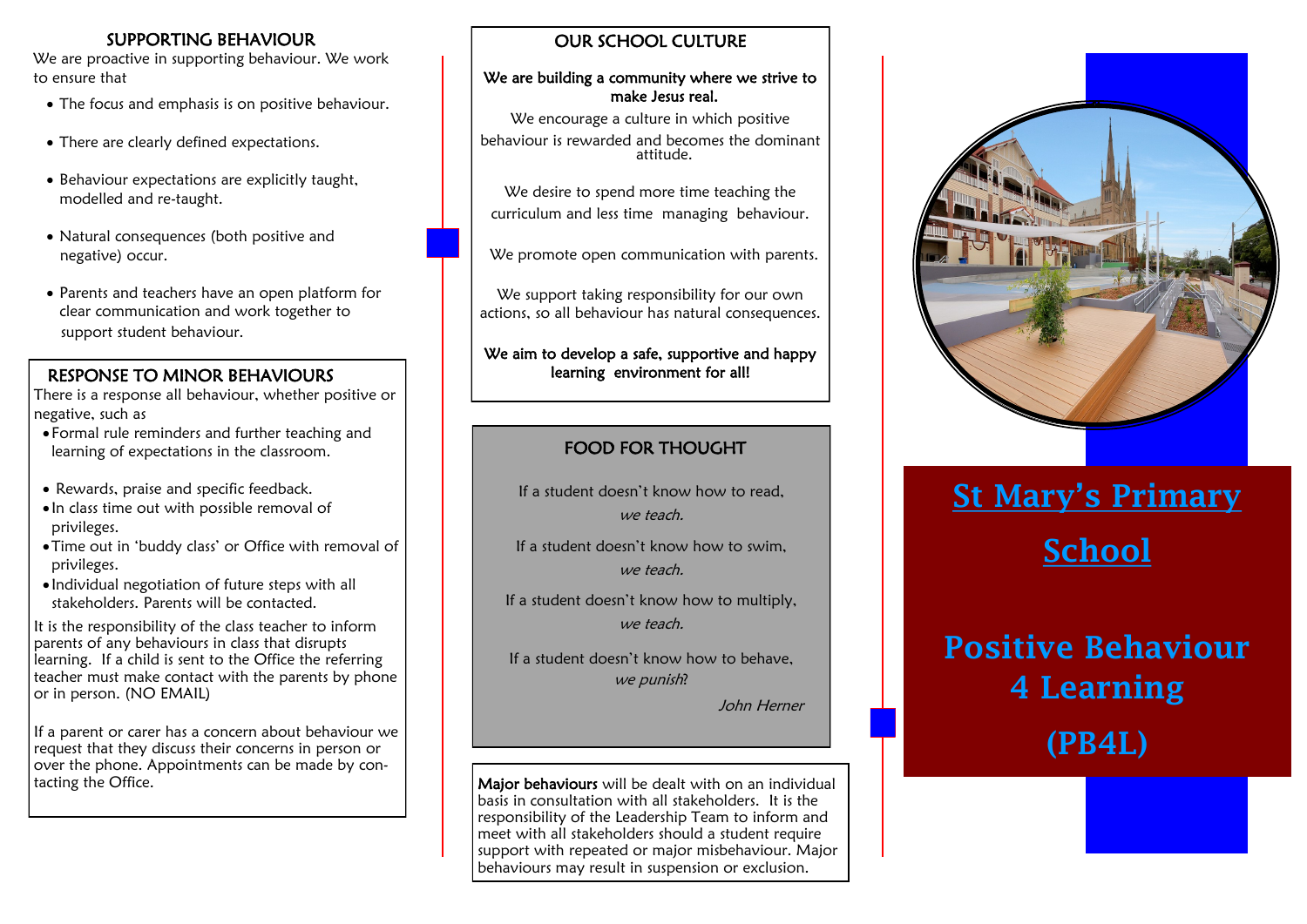#### SUPPORTING BEHAVIOUR

We are proactive in supporting behaviour. We work to ensure that

- The focus and emphasis is on positive behaviour.
- There are clearly defined expectations.
- Behaviour expectations are explicitly taught, modelled and re-taught.
- Natural consequences (both positive and negative) occur.
- Parents and teachers have an open platform for clear communication and work together to support student behaviour.

#### RESPONSE TO MINOR BEHAVIOURS

There is a response all behaviour, whether positive or negative, such as

- Formal rule reminders and further teaching and learning of expectations in the classroom.
- Rewards, praise and specific feedback.
- In class time out with possible removal of privileges.
- Time out in 'buddy class' or Office with removal of privileges.
- Individual negotiation of future steps with all stakeholders. Parents will be contacted.

It is the responsibility of the class teacher to inform parents of any behaviours in class that disrupts learning. If a child is sent to the Office the referring teacher must make contact with the parents by phone or in person. (NO EMAIL)

If a parent or carer has a concern about behaviour we request that they discuss their concerns in person or over the phone. Appointments can be made by con-<br>tacting the Office.

#### OUR SCHOOL CULTURE

#### We are building a community where we strive to make Jesus real.

We encourage a culture in which positive behaviour is rewarded and becomes the dominant attitude.

We desire to spend more time teaching the curriculum and less time managing behaviour.

We promote open communication with parents.

We support taking responsibility for our own actions, so all behaviour has natural consequences.

We aim to develop a safe, supportive and happy learning environment for all!

## FOOD FOR THOUGHT

If a student doesn't know how to read, we teach.

If a student doesn't know how to swim, we teach.

If a student doesn't know how to multiply, we teach.

If a student doesn't know how to behave, we punish?

John Herner

Major behaviours will be dealt with on an individual basis in consultation with all stakeholders. It is the responsibility of the Leadership Team to inform and meet with all stakeholders should a student require support with repeated or major misbehaviour. Major behaviours may result in suspension or exclusion.



# St Mary's Primary School

## Positive Behaviour 4 Learning

(PB4L)